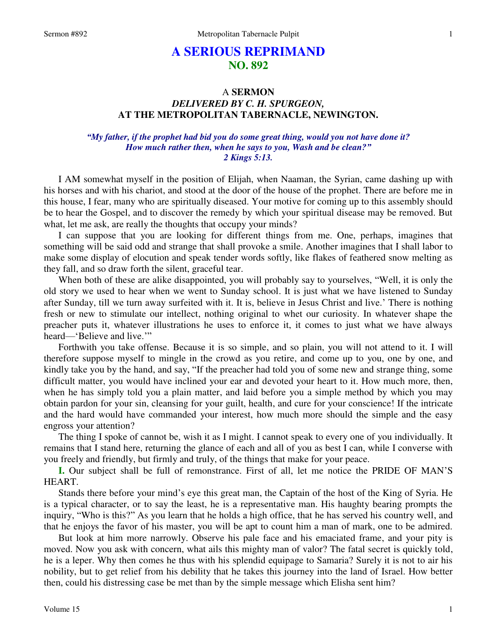# **A SERIOUS REPRIMAND NO. 892**

# A **SERMON**  *DELIVERED BY C. H. SPURGEON,*  **AT THE METROPOLITAN TABERNACLE, NEWINGTON.**

## *"My father, if the prophet had bid you do some great thing, would you not have done it? How much rather then, when he says to you, Wash and be clean?" 2 Kings 5:13.*

I AM somewhat myself in the position of Elijah, when Naaman, the Syrian, came dashing up with his horses and with his chariot, and stood at the door of the house of the prophet. There are before me in this house, I fear, many who are spiritually diseased. Your motive for coming up to this assembly should be to hear the Gospel, and to discover the remedy by which your spiritual disease may be removed. But what, let me ask, are really the thoughts that occupy your minds?

 I can suppose that you are looking for different things from me. One, perhaps, imagines that something will be said odd and strange that shall provoke a smile. Another imagines that I shall labor to make some display of elocution and speak tender words softly, like flakes of feathered snow melting as they fall, and so draw forth the silent, graceful tear.

 When both of these are alike disappointed, you will probably say to yourselves, "Well, it is only the old story we used to hear when we went to Sunday school. It is just what we have listened to Sunday after Sunday, till we turn away surfeited with it. It is, believe in Jesus Christ and live.' There is nothing fresh or new to stimulate our intellect, nothing original to whet our curiosity. In whatever shape the preacher puts it, whatever illustrations he uses to enforce it, it comes to just what we have always heard—'Believe and live.'"

 Forthwith you take offense. Because it is so simple, and so plain, you will not attend to it. I will therefore suppose myself to mingle in the crowd as you retire, and come up to you, one by one, and kindly take you by the hand, and say, "If the preacher had told you of some new and strange thing, some difficult matter, you would have inclined your ear and devoted your heart to it. How much more, then, when he has simply told you a plain matter, and laid before you a simple method by which you may obtain pardon for your sin, cleansing for your guilt, health, and cure for your conscience! If the intricate and the hard would have commanded your interest, how much more should the simple and the easy engross your attention?

 The thing I spoke of cannot be, wish it as I might. I cannot speak to every one of you individually. It remains that I stand here, returning the glance of each and all of you as best I can, while I converse with you freely and friendly, but firmly and truly, of the things that make for your peace.

**I.** Our subject shall be full of remonstrance. First of all, let me notice the PRIDE OF MAN'S HEART.

 Stands there before your mind's eye this great man, the Captain of the host of the King of Syria. He is a typical character, or to say the least, he is a representative man. His haughty bearing prompts the inquiry, "Who is this?" As you learn that he holds a high office, that he has served his country well, and that he enjoys the favor of his master, you will be apt to count him a man of mark, one to be admired.

 But look at him more narrowly. Observe his pale face and his emaciated frame, and your pity is moved. Now you ask with concern, what ails this mighty man of valor? The fatal secret is quickly told, he is a leper. Why then comes he thus with his splendid equipage to Samaria? Surely it is not to air his nobility, but to get relief from his debility that he takes this journey into the land of Israel. How better then, could his distressing case be met than by the simple message which Elisha sent him?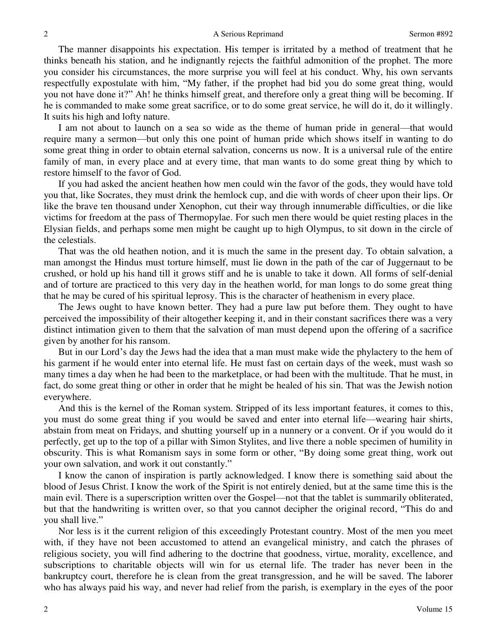The manner disappoints his expectation. His temper is irritated by a method of treatment that he thinks beneath his station, and he indignantly rejects the faithful admonition of the prophet. The more you consider his circumstances, the more surprise you will feel at his conduct. Why, his own servants respectfully expostulate with him, "My father, if the prophet had bid you do some great thing, would you not have done it?" Ah! he thinks himself great, and therefore only a great thing will be becoming. If he is commanded to make some great sacrifice, or to do some great service, he will do it, do it willingly. It suits his high and lofty nature.

 I am not about to launch on a sea so wide as the theme of human pride in general—that would require many a sermon—but only this one point of human pride which shows itself in wanting to do some great thing in order to obtain eternal salvation, concerns us now. It is a universal rule of the entire family of man, in every place and at every time, that man wants to do some great thing by which to restore himself to the favor of God.

 If you had asked the ancient heathen how men could win the favor of the gods, they would have told you that, like Socrates, they must drink the hemlock cup, and die with words of cheer upon their lips. Or like the brave ten thousand under Xenophon, cut their way through innumerable difficulties, or die like victims for freedom at the pass of Thermopylae. For such men there would be quiet resting places in the Elysian fields, and perhaps some men might be caught up to high Olympus, to sit down in the circle of the celestials.

 That was the old heathen notion, and it is much the same in the present day. To obtain salvation, a man amongst the Hindus must torture himself, must lie down in the path of the car of Juggernaut to be crushed, or hold up his hand till it grows stiff and he is unable to take it down. All forms of self-denial and of torture are practiced to this very day in the heathen world, for man longs to do some great thing that he may be cured of his spiritual leprosy. This is the character of heathenism in every place.

 The Jews ought to have known better. They had a pure law put before them. They ought to have perceived the impossibility of their altogether keeping it, and in their constant sacrifices there was a very distinct intimation given to them that the salvation of man must depend upon the offering of a sacrifice given by another for his ransom.

 But in our Lord's day the Jews had the idea that a man must make wide the phylactery to the hem of his garment if he would enter into eternal life. He must fast on certain days of the week, must wash so many times a day when he had been to the marketplace, or had been with the multitude. That he must, in fact, do some great thing or other in order that he might be healed of his sin. That was the Jewish notion everywhere.

 And this is the kernel of the Roman system. Stripped of its less important features, it comes to this, you must do some great thing if you would be saved and enter into eternal life—wearing hair shirts, abstain from meat on Fridays, and shutting yourself up in a nunnery or a convent. Or if you would do it perfectly, get up to the top of a pillar with Simon Stylites, and live there a noble specimen of humility in obscurity. This is what Romanism says in some form or other, "By doing some great thing, work out your own salvation, and work it out constantly."

 I know the canon of inspiration is partly acknowledged. I know there is something said about the blood of Jesus Christ. I know the work of the Spirit is not entirely denied, but at the same time this is the main evil. There is a superscription written over the Gospel—not that the tablet is summarily obliterated, but that the handwriting is written over, so that you cannot decipher the original record, "This do and you shall live."

 Nor less is it the current religion of this exceedingly Protestant country. Most of the men you meet with, if they have not been accustomed to attend an evangelical ministry, and catch the phrases of religious society, you will find adhering to the doctrine that goodness, virtue, morality, excellence, and subscriptions to charitable objects will win for us eternal life. The trader has never been in the bankruptcy court, therefore he is clean from the great transgression, and he will be saved. The laborer who has always paid his way, and never had relief from the parish, is exemplary in the eyes of the poor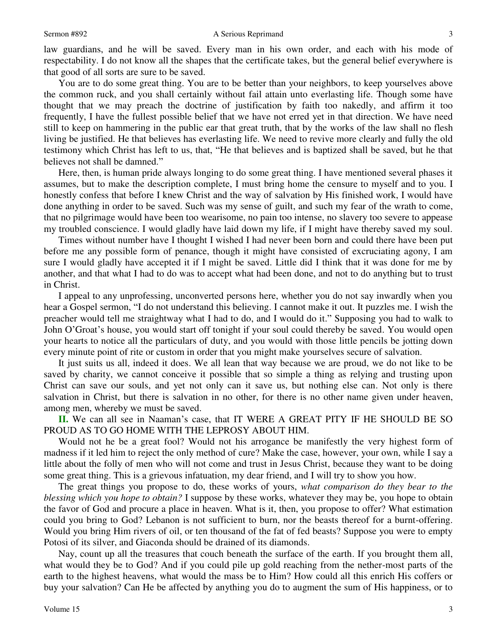law guardians, and he will be saved. Every man in his own order, and each with his mode of respectability. I do not know all the shapes that the certificate takes, but the general belief everywhere is that good of all sorts are sure to be saved.

 You are to do some great thing. You are to be better than your neighbors, to keep yourselves above the common ruck, and you shall certainly without fail attain unto everlasting life. Though some have thought that we may preach the doctrine of justification by faith too nakedly, and affirm it too frequently, I have the fullest possible belief that we have not erred yet in that direction. We have need still to keep on hammering in the public ear that great truth, that by the works of the law shall no flesh living be justified. He that believes has everlasting life. We need to revive more clearly and fully the old testimony which Christ has left to us, that, "He that believes and is baptized shall be saved, but he that believes not shall be damned."

 Here, then, is human pride always longing to do some great thing. I have mentioned several phases it assumes, but to make the description complete, I must bring home the censure to myself and to you. I honestly confess that before I knew Christ and the way of salvation by His finished work, I would have done anything in order to be saved. Such was my sense of guilt, and such my fear of the wrath to come, that no pilgrimage would have been too wearisome, no pain too intense, no slavery too severe to appease my troubled conscience. I would gladly have laid down my life, if I might have thereby saved my soul.

 Times without number have I thought I wished I had never been born and could there have been put before me any possible form of penance, though it might have consisted of excruciating agony, I am sure I would gladly have accepted it if I might be saved. Little did I think that it was done for me by another, and that what I had to do was to accept what had been done, and not to do anything but to trust in Christ.

 I appeal to any unprofessing, unconverted persons here, whether you do not say inwardly when you hear a Gospel sermon, "I do not understand this believing. I cannot make it out. It puzzles me. I wish the preacher would tell me straightway what I had to do, and I would do it." Supposing you had to walk to John O'Groat's house, you would start off tonight if your soul could thereby be saved. You would open your hearts to notice all the particulars of duty, and you would with those little pencils be jotting down every minute point of rite or custom in order that you might make yourselves secure of salvation.

 It just suits us all, indeed it does. We all lean that way because we are proud, we do not like to be saved by charity, we cannot conceive it possible that so simple a thing as relying and trusting upon Christ can save our souls, and yet not only can it save us, but nothing else can. Not only is there salvation in Christ, but there is salvation in no other, for there is no other name given under heaven, among men, whereby we must be saved.

**II.** We can all see in Naaman's case, that IT WERE A GREAT PITY IF HE SHOULD BE SO PROUD AS TO GO HOME WITH THE LEPROSY ABOUT HIM.

 Would not he be a great fool? Would not his arrogance be manifestly the very highest form of madness if it led him to reject the only method of cure? Make the case, however, your own, while I say a little about the folly of men who will not come and trust in Jesus Christ, because they want to be doing some great thing. This is a grievous infatuation, my dear friend, and I will try to show you how.

 The great things you propose to do, these works of yours, *what comparison do they bear to the blessing which you hope to obtain?* I suppose by these works, whatever they may be, you hope to obtain the favor of God and procure a place in heaven. What is it, then, you propose to offer? What estimation could you bring to God? Lebanon is not sufficient to burn, nor the beasts thereof for a burnt-offering. Would you bring Him rivers of oil, or ten thousand of the fat of fed beasts? Suppose you were to empty Potosi of its silver, and Giaconda should be drained of its diamonds.

 Nay, count up all the treasures that couch beneath the surface of the earth. If you brought them all, what would they be to God? And if you could pile up gold reaching from the nether-most parts of the earth to the highest heavens, what would the mass be to Him? How could all this enrich His coffers or buy your salvation? Can He be affected by anything you do to augment the sum of His happiness, or to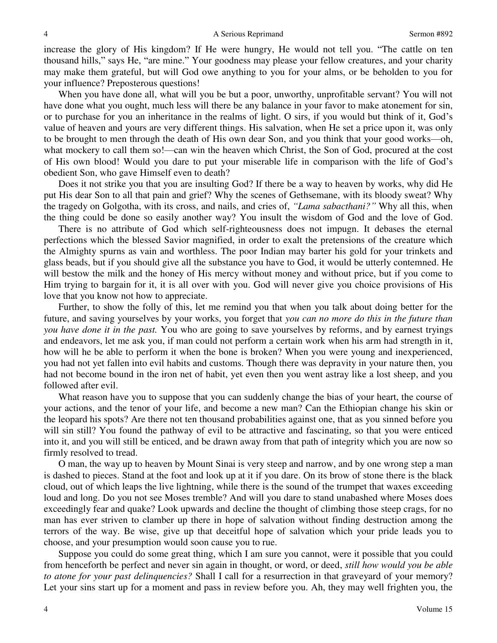increase the glory of His kingdom? If He were hungry, He would not tell you. "The cattle on ten thousand hills," says He, "are mine." Your goodness may please your fellow creatures, and your charity may make them grateful, but will God owe anything to you for your alms, or be beholden to you for your influence? Preposterous questions!

 When you have done all, what will you be but a poor, unworthy, unprofitable servant? You will not have done what you ought, much less will there be any balance in your favor to make atonement for sin, or to purchase for you an inheritance in the realms of light. O sirs, if you would but think of it, God's value of heaven and yours are very different things. His salvation, when He set a price upon it, was only to be brought to men through the death of His own dear Son, and you think that your good works—oh, what mockery to call them so!—can win the heaven which Christ, the Son of God, procured at the cost of His own blood! Would you dare to put your miserable life in comparison with the life of God's obedient Son, who gave Himself even to death?

 Does it not strike you that you are insulting God? If there be a way to heaven by works, why did He put His dear Son to all that pain and grief? Why the scenes of Gethsemane, with its bloody sweat? Why the tragedy on Golgotha, with its cross, and nails, and cries of, *"Lama sabacthani?"* Why all this, when the thing could be done so easily another way? You insult the wisdom of God and the love of God.

 There is no attribute of God which self-righteousness does not impugn. It debases the eternal perfections which the blessed Savior magnified, in order to exalt the pretensions of the creature which the Almighty spurns as vain and worthless. The poor Indian may barter his gold for your trinkets and glass beads, but if you should give all the substance you have to God, it would be utterly contemned. He will bestow the milk and the honey of His mercy without money and without price, but if you come to Him trying to bargain for it, it is all over with you. God will never give you choice provisions of His love that you know not how to appreciate.

Further, to show the folly of this, let me remind you that when you talk about doing better for the future, and saving yourselves by your works, you forget that *you can no more do this in the future than you have done it in the past.* You who are going to save yourselves by reforms, and by earnest tryings and endeavors, let me ask you, if man could not perform a certain work when his arm had strength in it, how will he be able to perform it when the bone is broken? When you were young and inexperienced, you had not yet fallen into evil habits and customs. Though there was depravity in your nature then, you had not become bound in the iron net of habit, yet even then you went astray like a lost sheep, and you followed after evil.

 What reason have you to suppose that you can suddenly change the bias of your heart, the course of your actions, and the tenor of your life, and become a new man? Can the Ethiopian change his skin or the leopard his spots? Are there not ten thousand probabilities against one, that as you sinned before you will sin still? You found the pathway of evil to be attractive and fascinating, so that you were enticed into it, and you will still be enticed, and be drawn away from that path of integrity which you are now so firmly resolved to tread.

O man, the way up to heaven by Mount Sinai is very steep and narrow, and by one wrong step a man is dashed to pieces. Stand at the foot and look up at it if you dare. On its brow of stone there is the black cloud, out of which leaps the live lightning, while there is the sound of the trumpet that waxes exceeding loud and long. Do you not see Moses tremble? And will you dare to stand unabashed where Moses does exceedingly fear and quake? Look upwards and decline the thought of climbing those steep crags, for no man has ever striven to clamber up there in hope of salvation without finding destruction among the terrors of the way. Be wise, give up that deceitful hope of salvation which your pride leads you to choose, and your presumption would soon cause you to rue.

 Suppose you could do some great thing, which I am sure you cannot, were it possible that you could from henceforth be perfect and never sin again in thought, or word, or deed, *still how would you be able to atone for your past delinquencies?* Shall I call for a resurrection in that graveyard of your memory? Let your sins start up for a moment and pass in review before you. Ah, they may well frighten you, the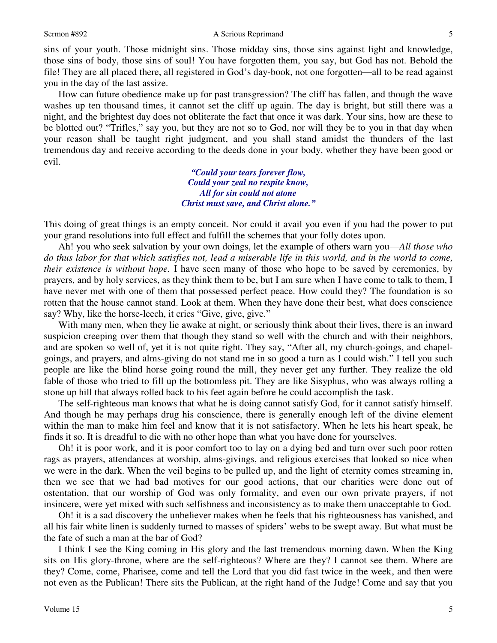### Sermon #892 A Serious Reprimand

sins of your youth. Those midnight sins. Those midday sins, those sins against light and knowledge, those sins of body, those sins of soul! You have forgotten them, you say, but God has not. Behold the file! They are all placed there, all registered in God's day-book, not one forgotten—all to be read against you in the day of the last assize.

 How can future obedience make up for past transgression? The cliff has fallen, and though the wave washes up ten thousand times, it cannot set the cliff up again. The day is bright, but still there was a night, and the brightest day does not obliterate the fact that once it was dark. Your sins, how are these to be blotted out? "Trifles," say you, but they are not so to God, nor will they be to you in that day when your reason shall be taught right judgment, and you shall stand amidst the thunders of the last tremendous day and receive according to the deeds done in your body, whether they have been good or evil.

> *"Could your tears forever flow, Could your zeal no respite know, All for sin could not atone Christ must save, and Christ alone."*

This doing of great things is an empty conceit. Nor could it avail you even if you had the power to put your grand resolutions into full effect and fulfill the schemes that your folly dotes upon.

Ah! you who seek salvation by your own doings, let the example of others warn you—*All those who do thus labor for that which satisfies not, lead a miserable life in this world, and in the world to come, their existence is without hope.* I have seen many of those who hope to be saved by ceremonies, by prayers, and by holy services, as they think them to be, but I am sure when I have come to talk to them, I have never met with one of them that possessed perfect peace. How could they? The foundation is so rotten that the house cannot stand. Look at them. When they have done their best, what does conscience say? Why, like the horse-leech, it cries "Give, give, give."

 With many men, when they lie awake at night, or seriously think about their lives, there is an inward suspicion creeping over them that though they stand so well with the church and with their neighbors, and are spoken so well of, yet it is not quite right. They say, "After all, my church-goings, and chapelgoings, and prayers, and alms-giving do not stand me in so good a turn as I could wish." I tell you such people are like the blind horse going round the mill, they never get any further. They realize the old fable of those who tried to fill up the bottomless pit. They are like Sisyphus, who was always rolling a stone up hill that always rolled back to his feet again before he could accomplish the task.

 The self-righteous man knows that what he is doing cannot satisfy God, for it cannot satisfy himself. And though he may perhaps drug his conscience, there is generally enough left of the divine element within the man to make him feel and know that it is not satisfactory. When he lets his heart speak, he finds it so. It is dreadful to die with no other hope than what you have done for yourselves.

Oh! it is poor work, and it is poor comfort too to lay on a dying bed and turn over such poor rotten rags as prayers, attendances at worship, alms-givings, and religious exercises that looked so nice when we were in the dark. When the veil begins to be pulled up, and the light of eternity comes streaming in, then we see that we had bad motives for our good actions, that our charities were done out of ostentation, that our worship of God was only formality, and even our own private prayers, if not insincere, were yet mixed with such selfishness and inconsistency as to make them unacceptable to God.

Oh! it is a sad discovery the unbeliever makes when he feels that his righteousness has vanished, and all his fair white linen is suddenly turned to masses of spiders' webs to be swept away. But what must be the fate of such a man at the bar of God?

 I think I see the King coming in His glory and the last tremendous morning dawn. When the King sits on His glory-throne, where are the self-righteous? Where are they? I cannot see them. Where are they? Come, come, Pharisee, come and tell the Lord that you did fast twice in the week, and then were not even as the Publican! There sits the Publican, at the right hand of the Judge! Come and say that you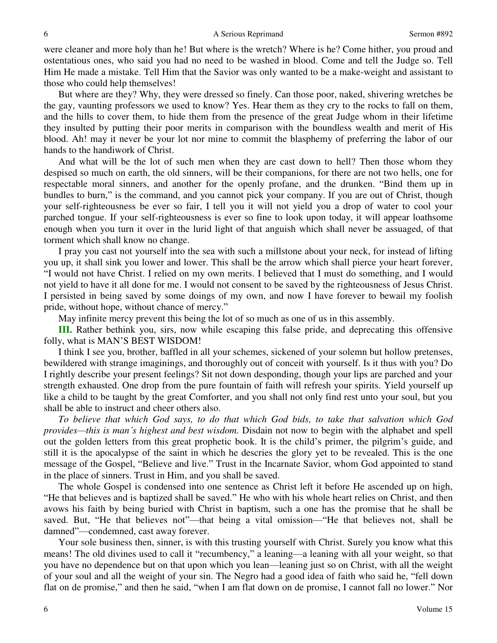were cleaner and more holy than he! But where is the wretch? Where is he? Come hither, you proud and ostentatious ones, who said you had no need to be washed in blood. Come and tell the Judge so. Tell Him He made a mistake. Tell Him that the Savior was only wanted to be a make-weight and assistant to those who could help themselves!

 But where are they? Why, they were dressed so finely. Can those poor, naked, shivering wretches be the gay, vaunting professors we used to know? Yes. Hear them as they cry to the rocks to fall on them, and the hills to cover them, to hide them from the presence of the great Judge whom in their lifetime they insulted by putting their poor merits in comparison with the boundless wealth and merit of His blood. Ah! may it never be your lot nor mine to commit the blasphemy of preferring the labor of our hands to the handiwork of Christ.

 And what will be the lot of such men when they are cast down to hell? Then those whom they despised so much on earth, the old sinners, will be their companions, for there are not two hells, one for respectable moral sinners, and another for the openly profane, and the drunken. "Bind them up in bundles to burn," is the command, and you cannot pick your company. If you are out of Christ, though your self-righteousness be ever so fair, I tell you it will not yield you a drop of water to cool your parched tongue. If your self-righteousness is ever so fine to look upon today, it will appear loathsome enough when you turn it over in the lurid light of that anguish which shall never be assuaged, of that torment which shall know no change.

 I pray you cast not yourself into the sea with such a millstone about your neck, for instead of lifting you up, it shall sink you lower and lower. This shall be the arrow which shall pierce your heart forever, "I would not have Christ. I relied on my own merits. I believed that I must do something, and I would not yield to have it all done for me. I would not consent to be saved by the righteousness of Jesus Christ. I persisted in being saved by some doings of my own, and now I have forever to bewail my foolish pride, without hope, without chance of mercy."

May infinite mercy prevent this being the lot of so much as one of us in this assembly.

**III.** Rather bethink you, sirs, now while escaping this false pride, and deprecating this offensive folly, what is MAN'S BEST WISDOM!

 I think I see you, brother, baffled in all your schemes, sickened of your solemn but hollow pretenses, bewildered with strange imaginings, and thoroughly out of conceit with yourself. Is it thus with you? Do I rightly describe your present feelings? Sit not down desponding, though your lips are parched and your strength exhausted. One drop from the pure fountain of faith will refresh your spirits. Yield yourself up like a child to be taught by the great Comforter, and you shall not only find rest unto your soul, but you shall be able to instruct and cheer others also.

*To believe that which God says, to do that which God bids, to take that salvation which God provides—this is man's highest and best wisdom.* Disdain not now to begin with the alphabet and spell out the golden letters from this great prophetic book. It is the child's primer, the pilgrim's guide, and still it is the apocalypse of the saint in which he descries the glory yet to be revealed. This is the one message of the Gospel, "Believe and live." Trust in the Incarnate Savior, whom God appointed to stand in the place of sinners. Trust in Him, and you shall be saved.

 The whole Gospel is condensed into one sentence as Christ left it before He ascended up on high, "He that believes and is baptized shall be saved." He who with his whole heart relies on Christ, and then avows his faith by being buried with Christ in baptism, such a one has the promise that he shall be saved. But, "He that believes not"—that being a vital omission—"He that believes not, shall be damned"—condemned, cast away forever.

 Your sole business then, sinner, is with this trusting yourself with Christ. Surely you know what this means! The old divines used to call it "recumbency," a leaning—a leaning with all your weight, so that you have no dependence but on that upon which you lean—leaning just so on Christ, with all the weight of your soul and all the weight of your sin. The Negro had a good idea of faith who said he, "fell down flat on de promise," and then he said, "when I am flat down on de promise, I cannot fall no lower." Nor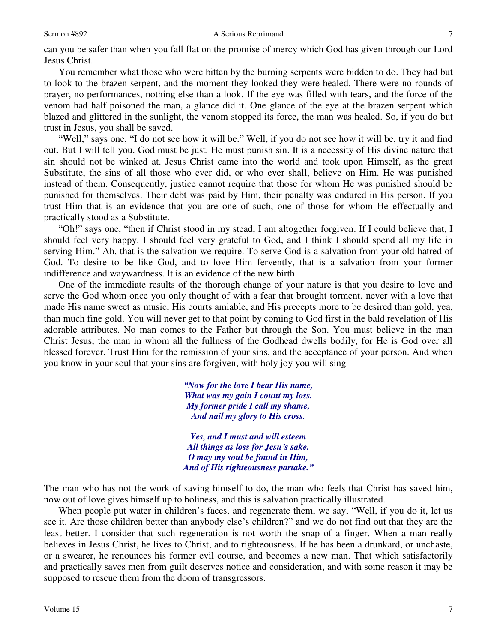#### Sermon #892 A Serious Reprimand

7

can you be safer than when you fall flat on the promise of mercy which God has given through our Lord Jesus Christ.

 You remember what those who were bitten by the burning serpents were bidden to do. They had but to look to the brazen serpent, and the moment they looked they were healed. There were no rounds of prayer, no performances, nothing else than a look. If the eye was filled with tears, and the force of the venom had half poisoned the man, a glance did it. One glance of the eye at the brazen serpent which blazed and glittered in the sunlight, the venom stopped its force, the man was healed. So, if you do but trust in Jesus, you shall be saved.

"Well," says one, "I do not see how it will be." Well, if you do not see how it will be, try it and find out. But I will tell you. God must be just. He must punish sin. It is a necessity of His divine nature that sin should not be winked at. Jesus Christ came into the world and took upon Himself, as the great Substitute, the sins of all those who ever did, or who ever shall, believe on Him. He was punished instead of them. Consequently, justice cannot require that those for whom He was punished should be punished for themselves. Their debt was paid by Him, their penalty was endured in His person. If you trust Him that is an evidence that you are one of such, one of those for whom He effectually and practically stood as a Substitute.

"Oh!" says one, "then if Christ stood in my stead, I am altogether forgiven. If I could believe that, I should feel very happy. I should feel very grateful to God, and I think I should spend all my life in serving Him." Ah, that is the salvation we require. To serve God is a salvation from your old hatred of God. To desire to be like God, and to love Him fervently, that is a salvation from your former indifference and waywardness. It is an evidence of the new birth.

 One of the immediate results of the thorough change of your nature is that you desire to love and serve the God whom once you only thought of with a fear that brought torment, never with a love that made His name sweet as music, His courts amiable, and His precepts more to be desired than gold, yea, than much fine gold. You will never get to that point by coming to God first in the bald revelation of His adorable attributes. No man comes to the Father but through the Son. You must believe in the man Christ Jesus, the man in whom all the fullness of the Godhead dwells bodily, for He is God over all blessed forever. Trust Him for the remission of your sins, and the acceptance of your person. And when you know in your soul that your sins are forgiven, with holy joy you will sing—

> *"Now for the love I bear His name, What was my gain I count my loss. My former pride I call my shame, And nail my glory to His cross.*

*Yes, and I must and will esteem All things as loss for Jesu's sake. O may my soul be found in Him, And of His righteousness partake."*

The man who has not the work of saving himself to do, the man who feels that Christ has saved him, now out of love gives himself up to holiness, and this is salvation practically illustrated.

 When people put water in children's faces, and regenerate them, we say, "Well, if you do it, let us see it. Are those children better than anybody else's children?" and we do not find out that they are the least better. I consider that such regeneration is not worth the snap of a finger. When a man really believes in Jesus Christ, he lives to Christ, and to righteousness. If he has been a drunkard, or unchaste, or a swearer, he renounces his former evil course, and becomes a new man. That which satisfactorily and practically saves men from guilt deserves notice and consideration, and with some reason it may be supposed to rescue them from the doom of transgressors.